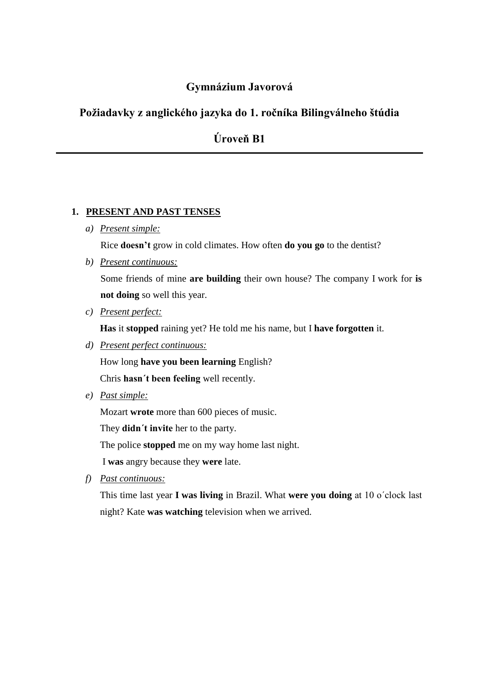## **Gymnázium Javorová**

## **Požiadavky z anglického jazyka do 1. ročníka Bilingválneho štúdia**

**Úroveň B1**

#### **1. PRESENT AND PAST TENSES**

*a) Present simple:*

Rice **doesn't** grow in cold climates. How often **do you go** to the dentist?

*b) Present continuous:*

Some friends of mine **are building** their own house? The company I work for **is not doing** so well this year.

*c) Present perfect:*

**Has** it **stopped** raining yet? He told me his name, but I **have forgotten** it.

*d) Present perfect continuous:*

How long **have you been learning** English?

Chris **hasn´t been feeling** well recently.

*e) Past simple:*

Mozart **wrote** more than 600 pieces of music.

They **didn´t invite** her to the party.

The police **stopped** me on my way home last night.

I **was** angry because they **were** late.

*f) Past continuous:*

This time last year **I was living** in Brazil. What **were you doing** at 10 o´clock last night? Kate **was watching** television when we arrived.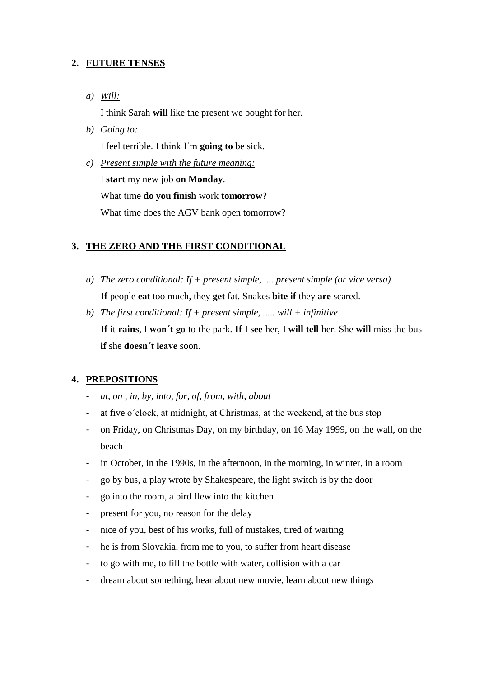## **2. FUTURE TENSES**

*a) Will:*

I think Sarah **will** like the present we bought for her.

- *b) Going to:* I feel terrible. I think I´m **going to** be sick.
- *c) Present simple with the future meaning:* I **start** my new job **on Monday**. What time **do you finish** work **tomorrow**? What time does the AGV bank open tomorrow?

## **3. THE ZERO AND THE FIRST CONDITIONAL**

- *a) The zero conditional: If + present simple, .... present simple (or vice versa)* **If** people **eat** too much, they **get** fat. Snakes **bite if** they **are** scared.
- *b) The first conditional: If + present simple, ..... will + infinitive* **If** it **rains**, I **won´t go** to the park. **If** I **see** her, I **will tell** her. She **will** miss the bus **if** she **doesn´t leave** soon.

## **4. PREPOSITIONS**

- *at, on , in, by, into, for, of, from, with, about*
- at five o´clock, at midnight, at Christmas, at the weekend, at the bus stop
- on Friday, on Christmas Day, on my birthday, on 16 May 1999, on the wall, on the beach
- in October, in the 1990s, in the afternoon, in the morning, in winter, in a room
- go by bus, a play wrote by Shakespeare, the light switch is by the door
- go into the room, a bird flew into the kitchen
- present for you, no reason for the delay
- nice of you, best of his works, full of mistakes, tired of waiting
- he is from Slovakia, from me to you, to suffer from heart disease
- to go with me, to fill the bottle with water, collision with a car
- dream about something, hear about new movie, learn about new things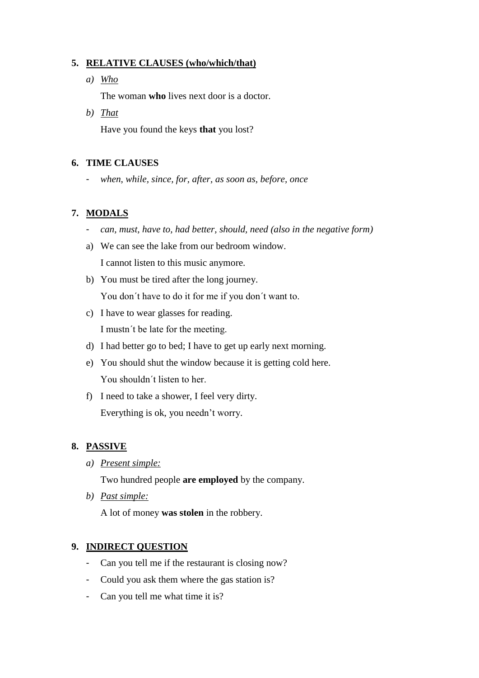## **5. RELATIVE CLAUSES (who/which/that)**

*a) Who*

The woman **who** lives next door is a doctor.

*b) That*

Have you found the keys **that** you lost?

#### **6. TIME CLAUSES**

- *when, while, since, for, after, as soon as, before, once*

#### **7. MODALS**

- *can, must, have to, had better, should, need (also in the negative form)*
- a) We can see the lake from our bedroom window. I cannot listen to this music anymore.
- b) You must be tired after the long journey. You don´t have to do it for me if you don´t want to.
- c) I have to wear glasses for reading. I mustn´t be late for the meeting.
- d) I had better go to bed; I have to get up early next morning.
- e) You should shut the window because it is getting cold here. You shouldn´t listen to her.
- f) I need to take a shower, I feel very dirty. Everything is ok, you needn't worry.

## **8. PASSIVE**

*a) Present simple:*

Two hundred people **are employed** by the company.

*b) Past simple:*

A lot of money **was stolen** in the robbery.

## **9. INDIRECT QUESTION**

- Can you tell me if the restaurant is closing now?
- Could you ask them where the gas station is?
- Can you tell me what time it is?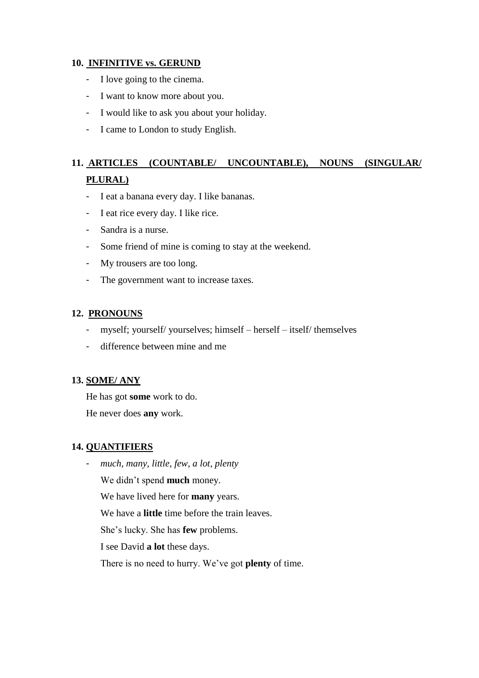### **10. INFINITIVE vs. GERUND**

- I love going to the cinema.
- I want to know more about you.
- I would like to ask you about your holiday.
- I came to London to study English.

# **11. ARTICLES (COUNTABLE/ UNCOUNTABLE), NOUNS (SINGULAR/ PLURAL)**

- I eat a banana every day. I like bananas.
- I eat rice every day. I like rice.
- Sandra is a nurse.
- Some friend of mine is coming to stay at the weekend.
- My trousers are too long.
- The government want to increase taxes.

#### **12. PRONOUNS**

- myself; yourself/ yourselves; himself herself itself/ themselves
- difference between mine and me

#### **13. SOME/ ANY**

He has got **some** work to do.

He never does **any** work.

## **14. QUANTIFIERS**

- *much, many, little, few, a lot, plenty*

We didn't spend **much** money.

We have lived here for **many** years.

We have a **little** time before the train leaves.

She's lucky. She has **few** problems.

I see David **a lot** these days.

There is no need to hurry. We've got **plenty** of time.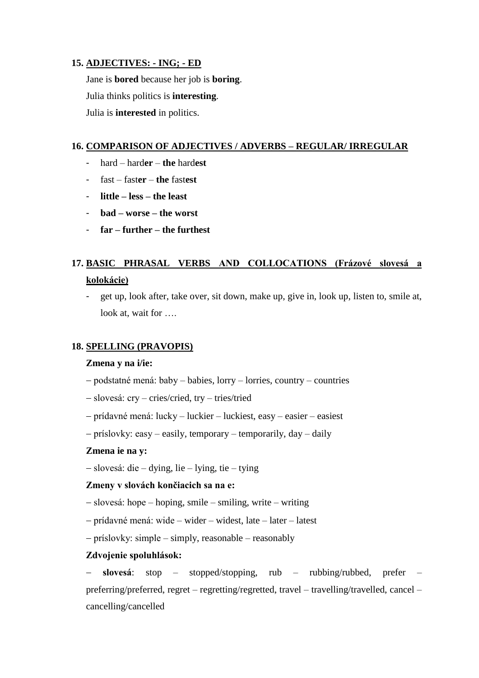### **15. ADJECTIVES: - ING; - ED**

Jane is **bored** because her job is **boring**. Julia thinks politics is **interesting**. Julia is **interested** in politics.

#### **16. COMPARISON OF ADJECTIVES / ADVERBS – REGULAR/ IRREGULAR**

- hard hard**er the** hard**est**
- fast fast**er the** fast**est**
- **little – less – the least**
- **bad – worse – the worst**
- **far – further – the furthest**

# **17. BASIC PHRASAL VERBS AND COLLOCATIONS (Frázové slovesá a kolokácie)**

- get up, look after, take over, sit down, make up, give in, look up, listen to, smile at, look at, wait for ....

## **18. SPELLING (PRAVOPIS)**

#### **Zmena y na i/ie:**

- podstatné mená: baby babies, lorry lorries, country countries
- slovesá: cry cries/cried, try tries/tried
- prídavné mená: lucky luckier luckiest, easy easier easiest
- príslovky: easy easily, temporary temporarily, day daily

#### **Zmena ie na y:**

slovesá: die – dying, lie – lying, tie – tying

#### **Zmeny v slovách končiacich sa na e:**

- slovesá: hope hoping, smile smiling, write writing
- prídavné mená: wide wider widest, late later latest
- príslovky: simple simply, reasonable reasonably

## **Zdvojenie spoluhlások:**

 **slovesá**: stop – stopped/stopping, rub – rubbing/rubbed, prefer – preferring/preferred, regret – regretting/regretted, travel – travelling/travelled, cancel – cancelling/cancelled